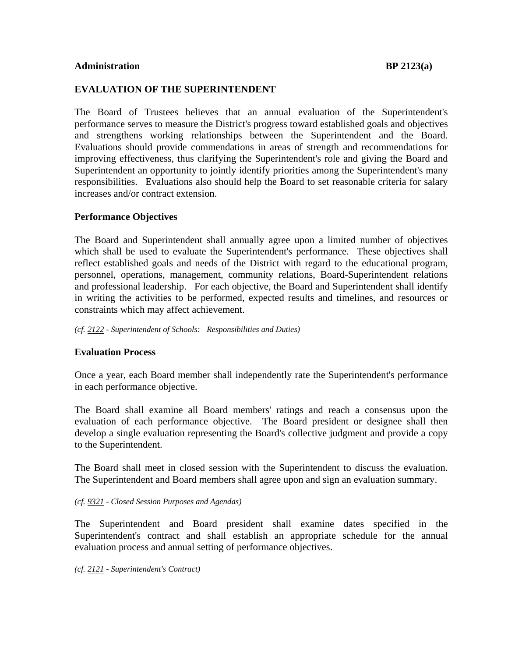### **Administration BP 2123(a)**

# **EVALUATION OF THE SUPERINTENDENT**

The Board of Trustees believes that an annual evaluation of the Superintendent's performance serves to measure the District's progress toward established goals and objectives and strengthens working relationships between the Superintendent and the Board. Evaluations should provide commendations in areas of strength and recommendations for improving effectiveness, thus clarifying the Superintendent's role and giving the Board and Superintendent an opportunity to jointly identify priorities among the Superintendent's many responsibilities. Evaluations also should help the Board to set reasonable criteria for salary increases and/or contract extension.

# **Performance Objectives**

The Board and Superintendent shall annually agree upon a limited number of objectives which shall be used to evaluate the Superintendent's performance. These objectives shall reflect established goals and needs of the District with regard to the educational program, personnel, operations, management, community relations, Board-Superintendent relations and professional leadership. For each objective, the Board and Superintendent shall identify in writing the activities to be performed, expected results and timelines, and resources or constraints which may affect achievement.

*(cf. 2122 - Superintendent of Schools: Responsibilities and Duties)*

# **Evaluation Process**

Once a year, each Board member shall independently rate the Superintendent's performance in each performance objective.

The Board shall examine all Board members' ratings and reach a consensus upon the evaluation of each performance objective. The Board president or designee shall then develop a single evaluation representing the Board's collective judgment and provide a copy to the Superintendent.

The Board shall meet in closed session with the Superintendent to discuss the evaluation. The Superintendent and Board members shall agree upon and sign an evaluation summary.

### *(cf. 9321 - Closed Session Purposes and Agendas)*

The Superintendent and Board president shall examine dates specified in the Superintendent's contract and shall establish an appropriate schedule for the annual evaluation process and annual setting of performance objectives.

*(cf. 2121 - Superintendent's Contract)*